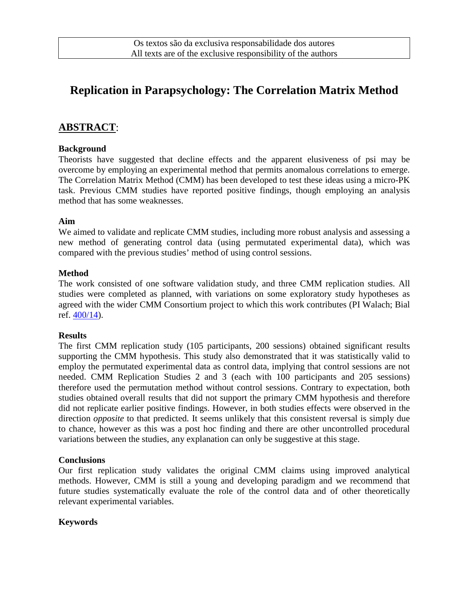# **Replication in Parapsychology: The Correlation Matrix Method**

# **ABSTRACT**:

#### **Background**

Theorists have suggested that decline effects and the apparent elusiveness of psi may be overcome by employing an experimental method that permits anomalous correlations to emerge. The Correlation Matrix Method (CMM) has been developed to test these ideas using a micro-PK task. Previous CMM studies have reported positive findings, though employing an analysis method that has some weaknesses.

#### **Aim**

We aimed to validate and replicate CMM studies, including more robust analysis and assessing a new method of generating control data (using permutated experimental data), which was compared with the previous studies' method of using control sessions.

#### **Method**

The work consisted of one software validation study, and three CMM replication studies. All studies were completed as planned, with variations on some exploratory study hypotheses as agreed with the wider CMM Consortium project to which this work contributes (PI Walach; Bial ref. [400/14\)](http://fbial.docbasecloud.net/archivesearch.aspx?base=fbial&search=cod%3a%22PT%2fFB%2fBL-2014-400%24%22&page=1&format=).

#### **Results**

The first CMM replication study (105 participants, 200 sessions) obtained significant results supporting the CMM hypothesis. This study also demonstrated that it was statistically valid to employ the permutated experimental data as control data, implying that control sessions are not needed. CMM Replication Studies 2 and 3 (each with 100 participants and 205 sessions) therefore used the permutation method without control sessions. Contrary to expectation, both studies obtained overall results that did not support the primary CMM hypothesis and therefore did not replicate earlier positive findings. However, in both studies effects were observed in the direction *opposite* to that predicted. It seems unlikely that this consistent reversal is simply due to chance, however as this was a post hoc finding and there are other uncontrolled procedural variations between the studies, any explanation can only be suggestive at this stage.

#### **Conclusions**

Our first replication study validates the original CMM claims using improved analytical methods. However, CMM is still a young and developing paradigm and we recommend that future studies systematically evaluate the role of the control data and of other theoretically relevant experimental variables.

### **Keywords**